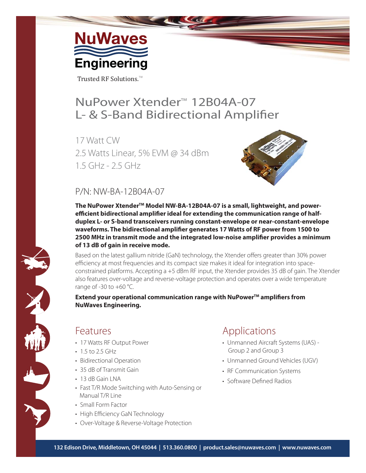

Trusted RF Solutions.<sup>TM</sup>

## NuPower Xtender<sup>™</sup> 12B04A-07 L- & S-Band Bidirectional Amplifier

17 Watt CW 2.5 Watts Linear, 5% EVM @ 34 dBm 1.5 GHz - 2.5 GHz



### P/N: NW-BA-12B04A-07

The NuPower Xtender<sup>™</sup> Model NW-BA-12B04A-07 is a small, lightweight, and powerefficient bidirectional amplifier ideal for extending the communication range of half**duplex L- or S-band transceivers running constant-envelope or near-constant-envelope**  waveforms. The bidirectional amplifier generates 17 Watts of RF power from 1500 to **2500 MHz in transmit mode and the integrated low-noise amplifier provides a minimum of 13 dB of gain in receive mode.**

Based on the latest gallium nitride (GaN) technology, the Xtender offers greater than 30% power efficiency at most frequencies and its compact size makes it ideal for integration into spaceconstrained platforms. Accepting a +5 dBm RF input, the Xtender provides 35 dB of gain. The Xtender also features over-voltage and reverse-voltage protection and operates over a wide temperature range of  $-30$  to  $+60$  °C.

**Extend your operational communication range with NuPower™ amplifiers from NuWaves Engineering.**

### Features

- 17 Watts RF Output Power
- 1.5 to 2.5 GHz
- Bidirectional Operation
- 35 dB of Transmit Gain
- 13 dB Gain LNA
- Fast T/R Mode Switching with Auto-Sensing or Manual T/R Line
- Small Form Factor
- High Efficiency GaN Technology
- Over-Voltage & Reverse-Voltage Protection

### Applications

- Unmanned Aircraft Systems (UAS) Group 2 and Group 3
- Unmanned Ground Vehicles (UGV)
- RF Communication Systems
- Software Defined Radios